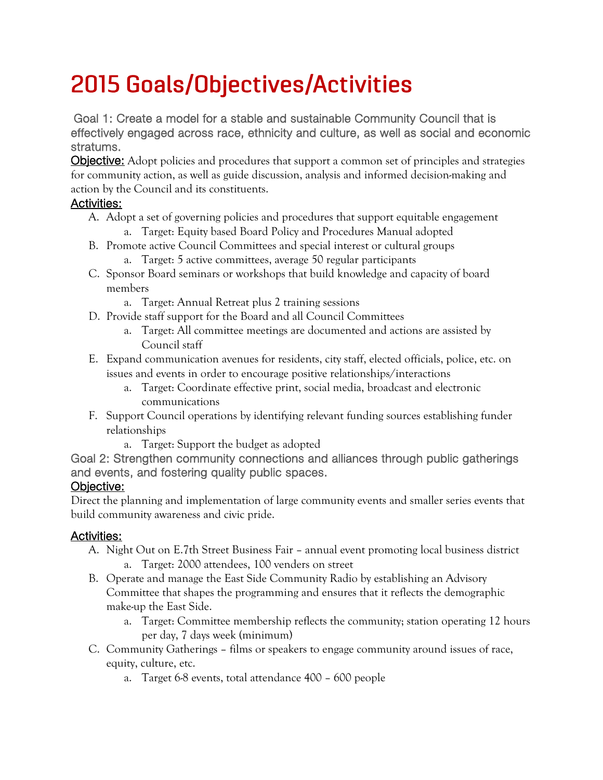# 2015 Goals/Objectives/Activities

Goal 1: Create a model for a stable and sustainable Community Council that is effectively engaged across race, ethnicity and culture, as well as social and economic stratums.

**Objective:** Adopt policies and procedures that support a common set of principles and strategies for community action, as well as guide discussion, analysis and informed decision-making and action by the Council and its constituents.

### Activities:

- A. Adopt a set of governing policies and procedures that support equitable engagement a. Target: Equity based Board Policy and Procedures Manual adopted
- B. Promote active Council Committees and special interest or cultural groups
	- a. Target: 5 active committees, average 50 regular participants
- C. Sponsor Board seminars or workshops that build knowledge and capacity of board members
	- a. Target: Annual Retreat plus 2 training sessions
- D. Provide staff support for the Board and all Council Committees
	- a. Target: All committee meetings are documented and actions are assisted by Council staff
- E. Expand communication avenues for residents, city staff, elected officials, police, etc. on issues and events in order to encourage positive relationships/interactions
	- a. Target: Coordinate effective print, social media, broadcast and electronic communications
- F. Support Council operations by identifying relevant funding sources establishing funder relationships
	- a. Target: Support the budget as adopted
- Goal 2: Strengthen community connections and alliances through public gatherings and events, and fostering quality public spaces.

## Objective:

Direct the planning and implementation of large community events and smaller series events that build community awareness and civic pride.

## Activities:

- A. Night Out on E.7th Street Business Fair annual event promoting local business district a. Target: 2000 attendees, 100 venders on street
- B. Operate and manage the East Side Community Radio by establishing an Advisory Committee that shapes the programming and ensures that it reflects the demographic make-up the East Side.
	- a. Target: Committee membership reflects the community; station operating 12 hours per day, 7 days week (minimum)
- C. Community Gatherings films or speakers to engage community around issues of race, equity, culture, etc.
	- a. Target 6-8 events, total attendance 400 600 people